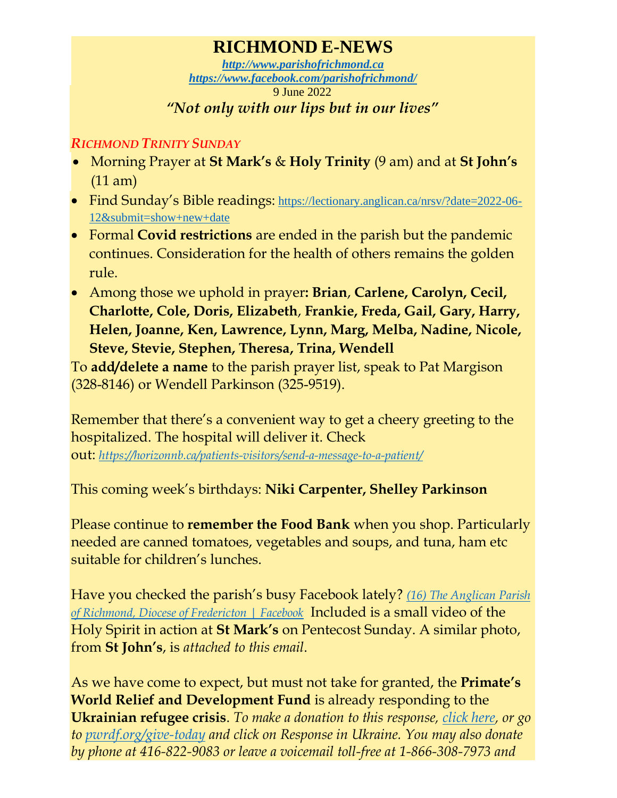## **RICHMOND E-NEWS**

*[http://www.parishofrichmond.ca](http://www.parishofrichmond.ca/) <https://www.facebook.com/parishofrichmond/>* 9 June 2022 *"Not only with our lips but in our lives"*

## *RICHMOND TRINITY SUNDAY*

- Morning Prayer at **St Mark's** & **Holy Trinity** (9 am) and at **St John's** (11 am)
- Find Sunday's Bible readings: [https://lectionary.anglican.ca/nrsv/?date=2022-06-](https://lectionary.anglican.ca/nrsv/?date=2022-06-12&submit=show+new+date) [12&submit=show+new+date](https://lectionary.anglican.ca/nrsv/?date=2022-06-12&submit=show+new+date)
- Formal **Covid restrictions** are ended in the parish but the pandemic continues. Consideration for the health of others remains the golden rule.
- Among those we uphold in prayer**: Brian**, **Carlene, Carolyn, Cecil, Charlotte, Cole, Doris, Elizabeth**, **Frankie, Freda, Gail, Gary, Harry, Helen, Joanne, Ken, Lawrence, Lynn, Marg, Melba, Nadine, Nicole, Steve, Stevie, Stephen, Theresa, Trina, Wendell**

To **add/delete a name** to the parish prayer list, speak to Pat Margison (328-8146) or Wendell Parkinson (325-9519).

Remember that there's a convenient way to get a cheery greeting to the hospitalized. The hospital will deliver it. Check

out: *<https://horizonnb.ca/patients-visitors/send-a-message-to-a-patient/>*

This coming week's birthdays: **Niki Carpenter, Shelley Parkinson**

Please continue to **remember the Food Bank** when you shop. Particularly needed are canned tomatoes, vegetables and soups, and tuna, ham etc suitable for children's lunches.

Have you checked the parish's busy Facebook lately? *[\(16\) The Anglican Parish](https://www.facebook.com/parishofrichmond/)  [of Richmond, Diocese of Fredericton | Facebook](https://www.facebook.com/parishofrichmond/)* Included is a small video of the Holy Spirit in action at **St Mark's** on Pentecost Sunday. A similar photo, from **St John's**, is *attached to this email*.

As we have come to expect, but must not take for granted, the **Primate's World Relief and Development Fund** is already responding to the **Ukrainian refugee crisis**. *To make a donation to this response, [click here,](https://interland3.donorperfect.net/weblink/WebLink.aspx?name=E344492QE&id=45) or go to [pwrdf.org/give-today](https://pwrdf.org/pwrdf-supports-bc-floods-with-10000-grant/) and click on Response in Ukraine. You may also donate by phone at 416-822-9083 or leave a voicemail toll-free at 1-866-308-7973 and*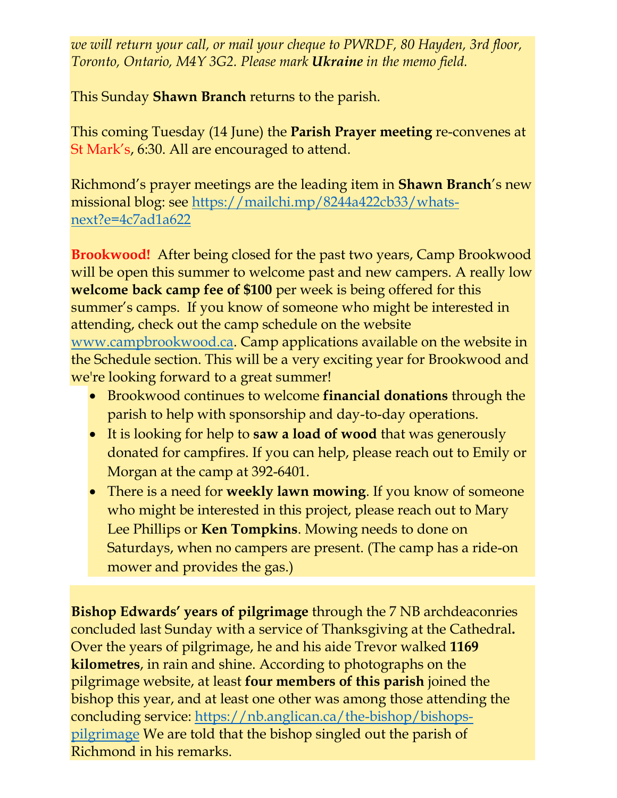*we will return your call, or mail your cheque to PWRDF, 80 Hayden, 3rd floor, Toronto, Ontario, M4Y 3G2. Please mark Ukraine in the memo field.*

This Sunday **Shawn Branch** returns to the parish.

This coming Tuesday (14 June) the **Parish Prayer meeting** re-convenes at St Mark's, 6:30. All are encouraged to attend.

Richmond's prayer meetings are the leading item in **Shawn Branch**'s new missional blog: see [https://mailchi.mp/8244a422cb33/whats](https://mailchi.mp/8244a422cb33/whats-next?e=4c7ad1a622)[next?e=4c7ad1a622](https://mailchi.mp/8244a422cb33/whats-next?e=4c7ad1a622)

**Brookwood!** After being closed for the past two years, Camp Brookwood will be open this summer to welcome past and new campers. A really low **welcome back camp fee of \$100** per week is being offered for this summer's camps. If you know of someone who might be interested in attending, check out the camp schedule on the website [www.campbrookwood.ca.](http://www.campbrookwood.ca/) Camp applications available on the website in the Schedule section. This will be a very exciting year for Brookwood and we're looking forward to a great summer!

- Brookwood continues to welcome **financial donations** through the parish to help with sponsorship and day-to-day operations.
- It is looking for help to **saw a load of wood** that was generously donated for campfires. If you can help, please reach out to Emily or Morgan at the camp at 392-6401.
- There is a need for **weekly lawn mowing**. If you know of someone who might be interested in this project, please reach out to Mary Lee Phillips or **Ken Tompkins**. Mowing needs to done on Saturdays, when no campers are present. (The camp has a ride-on mower and provides the gas.)

**Bishop Edwards' years of pilgrimage** through the 7 NB archdeaconries concluded last Sunday with a service of Thanksgiving at the Cathedral**.**  Over the years of pilgrimage, he and his aide Trevor walked **1169 kilometres**, in rain and shine. According to photographs on the pilgrimage website, at least **four members of this parish** joined the bishop this year, and at least one other was among those attending the concluding service: [https://nb.anglican.ca/the-bishop/bishops](https://nb.anglican.ca/the-bishop/bishops-pilgrimage)[pilgrimage](https://nb.anglican.ca/the-bishop/bishops-pilgrimage) We are told that the bishop singled out the parish of Richmond in his remarks.